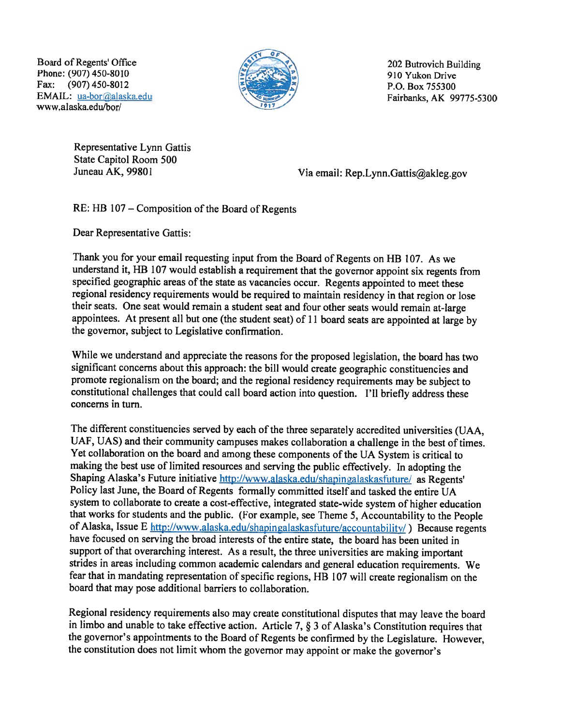Board of Regents' Office 202 Butrovich Building<br>Phone: (907) 450-8010 910 Yukon Drive Fax:  $(907) 450-8012$  P.O. Box 755300 EMAIL: ua-bor@alaska.edu Fairbanks, AK 99775-5300 www.alaska.edu/bon



Representative Lynn Gattis State Capitol Room 500

Juneau AK, 99801 Via email: Rep.Lynn.Gattis@akleg.gov

## RE: HB 107 – Composition of the Board of Regents

Dear Representative Gattis:

Thank you for your email requesting input from the Board of Regents on HB 107. As we understand it, HR <sup>107</sup> would establish <sup>a</sup> requirement that the governor appoint six regents from specified geographic areas of the state as vacancies occur. Regents appointed to meet these regional residency requirements would be required to maintain residency in that region or lose their seats. One seat would remain <sup>a</sup> student seat and four other seats would remain at-large appointees. At present all but one (the student seat) of <sup>11</sup> board seats are appointed at large by the governor, subject to Legislative confirmation.

While we understand and appreciate the reasons for the proposed legislation, the board has two significant concerns about this approach: the bill would create geographic constituencies and promote regionalism on the board; and the regional residency requirements may be subject to constitutional challenges that could call board action into question. I'll briefly address these concerns in turn.

The different constituencies served by each of the three separately accredited universities (UAA, UAF, UAS) and their community campuses makes collaboration <sup>a</sup> challenge in the best of times. Yet collaboration on the board and among these components of the UA System is critical to making the best use of limited resources and serving the public effectively. In adopting the Shaping Alaska's Future initiative http://www.alaska.edu/shapingalaskasfuture/ as Regents' Policy last June, the Board of Regents formally committed itself and tasked the entire UA system to collaborate to create <sup>a</sup> cost-effective, integrated state-wide system of higher education that works for students and the public. (For example, see Theme 5, Accountability to the People of Alaska, Issue E http://www.alaska.edu/shapingalaskasfuture/accountability/) Because regents have focused on serving the broad interests of the entire state, the board has been united in support of that overarching interest. As a result, the three universities are making important strides in areas including common academic calendars and general education requirements. We fear that in mandating representation of specific regions, HB 107 will create regionalism on the board that may pose additional harriers to collaboration.

Regional residency requirements also may create constitutional disputes that may leave the board<br>in limbo and unable to take effective action. Article 7,  $\S 3$  of Alaska's Constitution requires that the governor's appointments to the Board of Regents be confirmed by the Legislature. However, the constitution does not limit whom the governor may appoint or make the governor's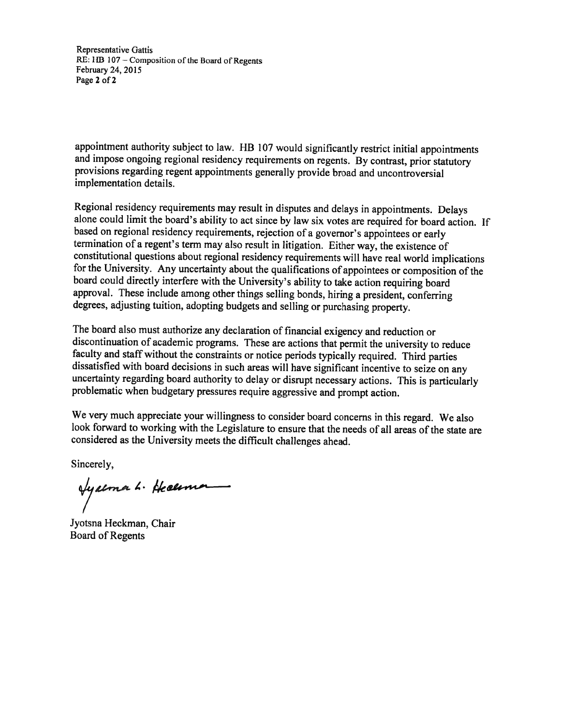Representative Gattis  $RE: HB$  107 – Composition of the Board of Regents February 24, 2015 Page 2 of 2

appointment authority subject to law. HB 107 would significantly restrict initial appointments and impose ongoing regional residency requirements on regents. By contrast, prior statutory provisions regarding regent appoint implementation details.

Regional residency requirements may result in disputes and delays in appointments. Delays<br>alone could limit the board's ability to act since by law six votes are required for board action. If<br>based on regional residency re for the University. Any uncertainty about the qualifications of appointees or composition of the board could directly interfere with the University's ability to take action requiring board approval. These include among other things selling bonds, hiring <sup>a</sup> president, conferring degrees, adjusting tuition, adopting budgets and selling or purchasing property.

The board also must authorize any declaration of financial exigency and reduction or discontinuation of academic programs. These are actions that permit the university to reduce faculty and staff without the constraints or notice periods typically required. Third parties<br>dissatisfied with board decisions in such areas will have significant incentive to seize on any<br>uncertainty regarding board auth

We very much appreciate your willingness to consider board concerns in this regard. We also look forward to working with the Legislature to ensure that the needs of all areas of the state are considered as the University meets the difficult challenges ahead.

Sincerely,

**Ayaema L.** Heceman

Jyotsna Heckman, Chair Board of Regents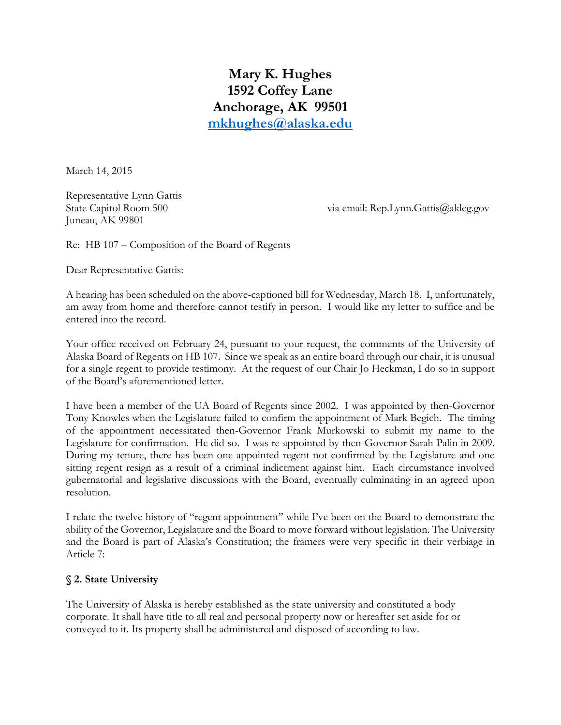**Mary K. Hughes 1592 Coffey Lane Anchorage, AK 99501 [mkhughes@alaska.edu](mailto:mkhughes@alaska.edu)**

March 14, 2015

Representative Lynn Gattis Juneau, AK 99801

State Capitol Room 500 via email: Rep.Lynn.Gattis@akleg.gov

Re: HB 107 – Composition of the Board of Regents

Dear Representative Gattis:

A hearing has been scheduled on the above-captioned bill for Wednesday, March 18. I, unfortunately, am away from home and therefore cannot testify in person. I would like my letter to suffice and be entered into the record.

Your office received on February 24, pursuant to your request, the comments of the University of Alaska Board of Regents on HB 107. Since we speak as an entire board through our chair, it is unusual for a single regent to provide testimony. At the request of our Chair Jo Heckman, I do so in support of the Board's aforementioned letter.

I have been a member of the UA Board of Regents since 2002. I was appointed by then-Governor Tony Knowles when the Legislature failed to confirm the appointment of Mark Begich. The timing of the appointment necessitated then-Governor Frank Murkowski to submit my name to the Legislature for confirmation. He did so. I was re-appointed by then-Governor Sarah Palin in 2009. During my tenure, there has been one appointed regent not confirmed by the Legislature and one sitting regent resign as a result of a criminal indictment against him. Each circumstance involved gubernatorial and legislative discussions with the Board, eventually culminating in an agreed upon resolution.

I relate the twelve history of "regent appointment" while I've been on the Board to demonstrate the ability of the Governor, Legislature and the Board to move forward without legislation. The University and the Board is part of Alaska's Constitution; the framers were very specific in their verbiage in Article 7:

## **§ 2. State University**

The University of Alaska is hereby established as the state university and constituted a body corporate. It shall have title to all real and personal property now or hereafter set aside for or conveyed to it. Its property shall be administered and disposed of according to law.